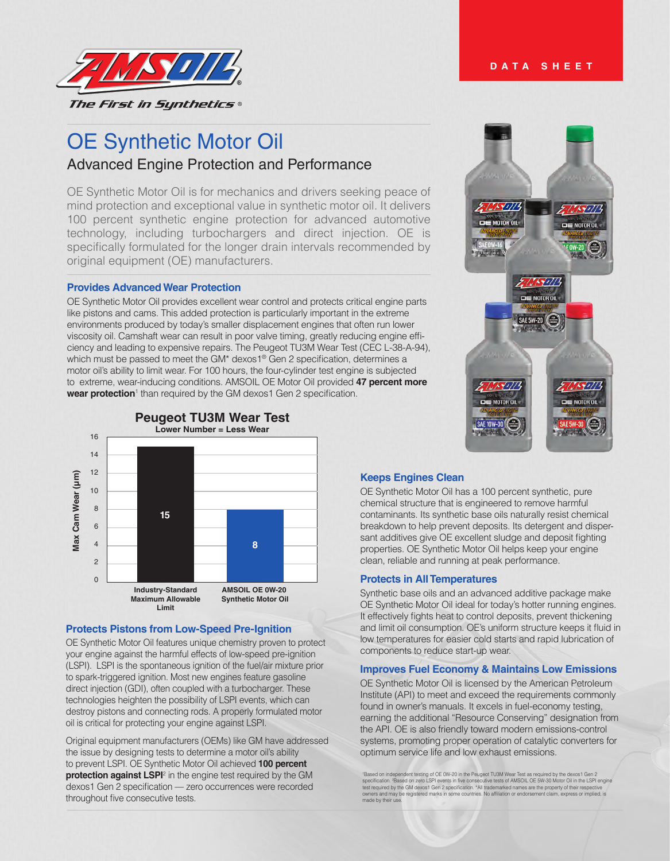

# OE Synthetic Motor Oil Advanced Engine Protection and Performance

OE Synthetic Motor Oil is for mechanics and drivers seeking peace of mind protection and exceptional value in synthetic motor oil. It delivers 100 percent synthetic engine protection for advanced automotive technology, including turbochargers and direct injection. OE is specifically formulated for the longer drain intervals recommended by original equipment (OE) manufacturers.

#### **Provides Advanced Wear Protection**

OE Synthetic Motor Oil provides excellent wear control and protects critical engine parts like pistons and cams. This added protection is particularly important in the extreme environments produced by today's smaller displacement engines that often run lower viscosity oil. Camshaft wear can result in poor valve timing, greatly reducing engine efficiency and leading to expensive repairs. The Peugeot TU3M Wear Test (CEC L-38-A-94), which must be passed to meet the GM\* dexos1® Gen 2 specification, determines a motor oil's ability to limit wear. For 100 hours, the four-cylinder test engine is subjected to extreme, wear-inducing conditions. AMSOIL OE Motor Oil provided **47 percent more**  wear protection<sup>1</sup> than required by the GM dexos1 Gen 2 specification.



# **Protects Pistons from Low-Speed Pre-Ignition**

OE Synthetic Motor Oil features unique chemistry proven to protect your engine against the harmful effects of low-speed pre-ignition (LSPI). LSPI is the spontaneous ignition of the fuel/air mixture prior to spark-triggered ignition. Most new engines feature gasoline direct injection (GDI), often coupled with a turbocharger. These technologies heighten the possibility of LSPI events, which can destroy pistons and connecting rods. A properly formulated motor oil is critical for protecting your engine against LSPI.

Original equipment manufacturers (OEMs) like GM have addressed the issue by designing tests to determine a motor oil's ability to prevent LSPI. OE Synthetic Motor Oil achieved **100 percent protection against LSPI**<sup>2</sup> in the engine test required by the GM dexos1 Gen 2 specification — zero occurrences were recorded throughout five consecutive tests.



# **Keeps Engines Clean**

OE Synthetic Motor Oil has a 100 percent synthetic, pure chemical structure that is engineered to remove harmful contaminants. Its synthetic base oils naturally resist chemical breakdown to help prevent deposits. Its detergent and dispersant additives give OE excellent sludge and deposit fighting properties. OE Synthetic Motor Oil helps keep your engine clean, reliable and running at peak performance.

#### **Protects in All Temperatures**

Synthetic base oils and an advanced additive package make OE Synthetic Motor Oil ideal for today's hotter running engines. It effectively fights heat to control deposits, prevent thickening and limit oil consumption. OE's uniform structure keeps it fluid in low temperatures for easier cold starts and rapid lubrication of components to reduce start-up wear.

# **Improves Fuel Economy & Maintains Low Emissions**

OE Synthetic Motor Oil is licensed by the American Petroleum Institute (API) to meet and exceed the requirements commonly found in owner's manuals. It excels in fuel-economy testing, earning the additional "Resource Conserving" designation from the API. OE is also friendly toward modern emissions-control systems, promoting proper operation of catalytic converters for optimum service life and low exhaust emissions.

"Based on independent testing of OE 0W-20 in the Peugeot TU3M Wear Test as required by the dexos1 Gen 2<br>specification. "Based on zero LSPI events in five consecutive tests of ANSOLL OE 5W-30 Mottor 0il in the LSPI engine<br>t made by their u